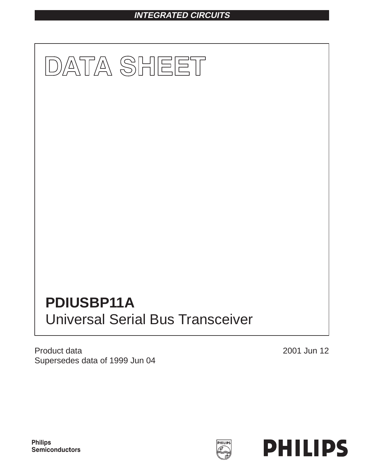# **INTEGRATED CIRCUITS**



Product data Supersedes data of 1999 Jun 04

2001 Jun 12



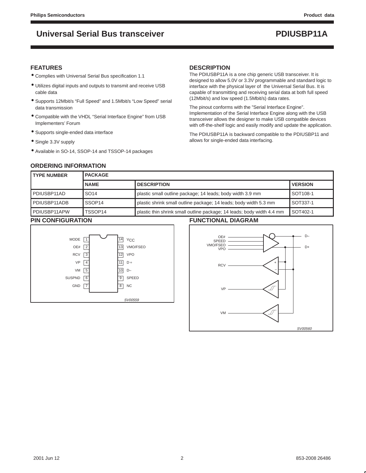# **Universal Serial Bus transceiver PDIUSBP11A**

### **FEATURES**

- Complies with Universal Serial Bus specification 1.1
- Utilizes digital inputs and outputs to transmit and receive USB cable data
- Supports 12Mbit/s "Full Speed" and 1.5Mbit/s "Low Speed" serial data transmission
- Compatible with the VHDL "Serial Interface Engine" from USB Implementers' Forum
- Supports single-ended data interface
- Single 3.3V supply
- Available in SO-14, SSOP-14 and TSSOP-14 packages

### **DESCRIPTION**

The PDIUSBP11A is a one chip generic USB transceiver. It is designed to allow 5.0V or 3.3V programmable and standard logic to interface with the physical layer of the Universal Serial Bus. It is capable of transmitting and receiving serial data at both full speed (12Mbit/s) and low speed (1.5Mbit/s) data rates.

The pinout conforms with the "Serial Interface Engine". Implementation of the Serial Interface Engine along with the USB transceiver allows the designer to make USB compatible devices with off-the-shelf logic and easily modify and update the application.

The PDIUSBP11A is backward compatible to the PDIUSBP11 and allows for single-ended data interfacing.

## **ORDERING INFORMATION**

| <b>PACKAGE</b><br><b>TYPE NUMBER</b> |                     |                                                                        |                |
|--------------------------------------|---------------------|------------------------------------------------------------------------|----------------|
|                                      | <b>NAME</b>         | <b>DESCRIPTION</b>                                                     | <b>VERSION</b> |
| PDIUSBP11AD                          | SO <sub>14</sub>    | plastic small outline package; 14 leads; body width 3.9 mm             | SOT108-1       |
| PDIUSBP11ADB                         | SSOP <sub>14</sub>  | plastic shrink small outline package; 14 leads; body width 5.3 mm      | SOT337-1       |
| PDIUSBP11APW                         | TSSOP <sub>14</sub> | plastic thin shrink small outline package; 14 leads; body width 4.4 mm | SOT402-1       |
| DINI CONIEICHD ATIONI                |                     | EUNOTIONAL DIAODAM                                                     |                |

### **PIN CONFIGURATION**



### **FUNCTIONAL DIAGRAM**

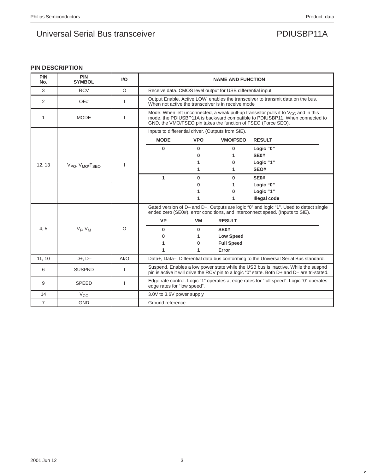## **PIN DESCRIPTION**

| <b>PIN</b><br>No. | <b>PIN</b><br><b>SYMBOL</b> | $UO$    | <b>NAME AND FUNCTION</b>                                                                                                                                                           |            |                                                            |                                                                                                                                                                                                                                         |  |
|-------------------|-----------------------------|---------|------------------------------------------------------------------------------------------------------------------------------------------------------------------------------------|------------|------------------------------------------------------------|-----------------------------------------------------------------------------------------------------------------------------------------------------------------------------------------------------------------------------------------|--|
| 3                 | <b>RCV</b>                  | $\circ$ |                                                                                                                                                                                    |            | Receive data. CMOS level output for USB differential input |                                                                                                                                                                                                                                         |  |
| 2                 | OE#                         |         |                                                                                                                                                                                    |            | When not active the transceiver is in receive mode         | Output Enable. Active LOW, enables the transceiver to transmit data on the bus.                                                                                                                                                         |  |
| 1                 | <b>MODE</b>                 |         |                                                                                                                                                                                    |            |                                                            | Mode. When left unconnected, a weak pull-up transistor pulls it to $V_{CC}$ and in this<br>mode, the PDIUSBP11A is backward compatible to PDIUSBP11. When connected to<br>GND, the VMO/FSEO pin takes the function of FSEO (Force SEO). |  |
|                   |                             |         |                                                                                                                                                                                    |            | Inputs to differential driver. (Outputs from SIE).         |                                                                                                                                                                                                                                         |  |
|                   |                             |         | <b>MODE</b>                                                                                                                                                                        | <b>VPO</b> | <b>VMO/FSEO</b>                                            | <b>RESULT</b>                                                                                                                                                                                                                           |  |
|                   |                             |         | $\bf{0}$                                                                                                                                                                           | 0          | $\bf{0}$                                                   | Logic "0"                                                                                                                                                                                                                               |  |
|                   |                             |         |                                                                                                                                                                                    | 0          | 1                                                          | <b>SE0#</b>                                                                                                                                                                                                                             |  |
| 12.13             | $V_{PO}$ , $V_{MO}/F_{SFO}$ |         |                                                                                                                                                                                    | 1          | 0                                                          | Logic "1"                                                                                                                                                                                                                               |  |
|                   |                             |         |                                                                                                                                                                                    | 1          | 1                                                          | SEO#                                                                                                                                                                                                                                    |  |
|                   |                             |         | 1                                                                                                                                                                                  | 0          | $\bf{0}$                                                   | SE <sub>0</sub> #                                                                                                                                                                                                                       |  |
|                   |                             |         |                                                                                                                                                                                    | 0          | 1                                                          | Logic "0"                                                                                                                                                                                                                               |  |
|                   |                             |         |                                                                                                                                                                                    | 1          | $\bf{0}$                                                   | Logic "1"                                                                                                                                                                                                                               |  |
|                   |                             |         |                                                                                                                                                                                    | 1          | 1                                                          | Illegal code                                                                                                                                                                                                                            |  |
|                   |                             |         |                                                                                                                                                                                    |            |                                                            | Gated version of D- and D+. Outputs are logic "0" and logic "1". Used to detect single<br>ended zero (SE0#), error conditions, and interconnect speed. (Inputs to SIE).                                                                 |  |
|                   |                             |         | <b>VP</b>                                                                                                                                                                          | VM         | <b>RESULT</b>                                              |                                                                                                                                                                                                                                         |  |
| 4,5               | $V_{P}$ , $V_{M}$           | O       | $\bf{0}$                                                                                                                                                                           | 0          | <b>SE0#</b>                                                |                                                                                                                                                                                                                                         |  |
|                   |                             |         | 0                                                                                                                                                                                  | 1          | <b>Low Speed</b>                                           |                                                                                                                                                                                                                                         |  |
|                   |                             |         | 1                                                                                                                                                                                  | 0          | <b>Full Speed</b>                                          |                                                                                                                                                                                                                                         |  |
|                   |                             |         | 1                                                                                                                                                                                  | 1          | Error                                                      |                                                                                                                                                                                                                                         |  |
| 11, 10            | $D+, D-$                    | AI/O    |                                                                                                                                                                                    |            |                                                            | Data+, Data-. Differential data bus conforming to the Universal Serial Bus standard.                                                                                                                                                    |  |
| 6                 | <b>SUSPND</b>               |         | Suspend. Enables a low power state while the USB bus is inactive. While the suspnd<br>pin is active it will drive the RCV pin to a logic "0" state. Both D+ and D- are tri-stated. |            |                                                            |                                                                                                                                                                                                                                         |  |
| 9                 | <b>SPEED</b>                |         | Edge rate control. Logic "1" operates at edge rates for "full speed". Logic "0" operates<br>edge rates for "low speed".                                                            |            |                                                            |                                                                                                                                                                                                                                         |  |
| 14                | $V_{\rm CC}$                |         | 3.0V to 3.6V power supply                                                                                                                                                          |            |                                                            |                                                                                                                                                                                                                                         |  |
| $\overline{7}$    | <b>GND</b>                  |         | Ground reference                                                                                                                                                                   |            |                                                            |                                                                                                                                                                                                                                         |  |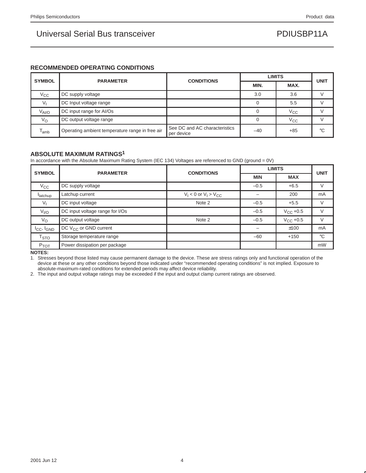## **RECOMMENDED OPERATING CONDITIONS**

| <b>SYMBOL</b>     | <b>PARAMETER</b>                                | <b>CONDITIONS</b>                           |       | <b>LIMITS</b> | <b>UNIT</b> |  |
|-------------------|-------------------------------------------------|---------------------------------------------|-------|---------------|-------------|--|
|                   |                                                 |                                             |       | MIN.          | MAX.        |  |
| $V_{\rm CC}$      | DC supply voltage                               |                                             | 3.0   | 3.6           |             |  |
|                   | DC Input voltage range                          |                                             |       | 5.5           |             |  |
| $V_{\text{Al/O}}$ | DC input range for AI/Os                        |                                             |       | $V_{\rm CC}$  |             |  |
| $V_{\rm O}$       | DC output voltage range                         |                                             |       | $V_{\rm CC}$  |             |  |
| l <sub>amb</sub>  | Operating ambient temperature range in free air | See DC and AC characteristics<br>per device | $-40$ | $+85$         | °C          |  |

### **ABSOLUTE MAXIMUM RATINGS1**

In accordance with the Absolute Maximum Rating System (IEC 134) Voltages are referenced to GND (ground = 0V)

|                           | <b>PARAMETER</b>                | <b>LIMITS</b><br><b>CONDITIONS</b> |            |                                                                                                                     | <b>UNIT</b> |  |
|---------------------------|---------------------------------|------------------------------------|------------|---------------------------------------------------------------------------------------------------------------------|-------------|--|
| <b>SYMBOL</b>             |                                 |                                    | <b>MIN</b> | <b>MAX</b><br>$-0.5$<br>$+6.5$<br>200<br>$+5.5$<br>$-0.5$<br>$V_{\rm CC}$ +0.5<br>$-0.5$<br>$V_{CC}$ +0.5<br>$-0.5$ |             |  |
| $V_{\rm CC}$              | DC supply voltage               |                                    |            |                                                                                                                     |             |  |
| <b>I</b> latchup          | Latchup current                 | $V_1$ < 0 or $V_1$ > $V_{CC}$      |            |                                                                                                                     | mA          |  |
| V,                        | DC input voltage                | Note 2                             |            |                                                                                                                     |             |  |
| V <sub>I/O</sub>          | DC input voltage range for I/Os |                                    |            |                                                                                                                     |             |  |
| $V_{\rm O}$               | DC output voltage               | Note 2                             |            |                                                                                                                     |             |  |
| $I_{CC}$ , $I_{GND}$      | DC $V_{CC}$ or GND current      |                                    |            | ±100                                                                                                                | mA          |  |
| $\mathsf{T}_{\text{STO}}$ | Storage temperature range       |                                    | $-60$      | $+150$                                                                                                              | $^{\circ}C$ |  |
| P <sub>TOT</sub>          | Power dissipation per package   |                                    |            |                                                                                                                     | mW          |  |

**NOTES:**

1. Stresses beyond those listed may cause permanent damage to the device. These are stress ratings only and functional operation of the device at these or any other conditions beyond those indicated under "recommended operating conditions" is not implied. Exposure to absolute-maximum-rated conditions for extended periods may affect device reliability.

2. The input and output voltage ratings may be exceeded if the input and output clamp current ratings are observed.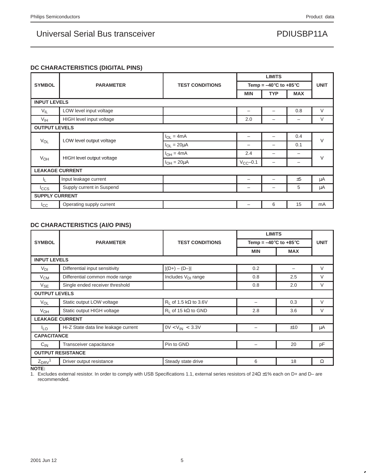## **DC CHARACTERISTICS (DIGITAL PINS)**

|                       |                           |                        | <b>LIMITS</b>                             |            |             |        |  |  |
|-----------------------|---------------------------|------------------------|-------------------------------------------|------------|-------------|--------|--|--|
| <b>SYMBOL</b>         | <b>PARAMETER</b>          | <b>TEST CONDITIONS</b> | Temp = $-40^{\circ}$ C to $+85^{\circ}$ C |            | <b>UNIT</b> |        |  |  |
|                       |                           |                        | <b>MIN</b>                                | <b>TYP</b> | <b>MAX</b>  |        |  |  |
| <b>INPUT LEVELS</b>   |                           |                        |                                           |            |             |        |  |  |
| $V_{IL}$              | LOW level input voltage   |                        |                                           |            | 0.8         | $\vee$ |  |  |
| V <sub>IH</sub>       | HIGH level input voltage  |                        | 2.0                                       |            |             | V      |  |  |
| <b>OUTPUT LEVELS</b>  |                           |                        |                                           |            |             |        |  |  |
|                       | LOW level output voltage  | $I_{OL} = 4mA$         |                                           |            | 0.4         | $\vee$ |  |  |
| <b>V<sub>OL</sub></b> |                           | $I_{OL} = 20 \mu A$    |                                           | -          | 0.1         |        |  |  |
|                       |                           | $I_{OH} = 4mA$         | 2.4                                       | -          | -           | $\vee$ |  |  |
| <b>V<sub>OH</sub></b> | HIGH level output voltage | $I_{OH} = 20 \mu A$    | $V_{CC}$ -0.1                             | -          |             |        |  |  |
|                       | <b>LEAKAGE CURRENT</b>    |                        |                                           |            |             |        |  |  |
| 4.                    | Input leakage current     |                        |                                           |            | ±5          | μA     |  |  |
| <b>I</b> ccs          | Supply current in Suspend |                        | -                                         | -          | 5           | μA     |  |  |
|                       | <b>SUPPLY CURRENT</b>     |                        |                                           |            |             |        |  |  |
| ICC                   | Operating supply current  |                        |                                           | 6          | 15          | mA     |  |  |

## **DC CHARACTERISTICS (AI/O PINS)**

|                                                                                   |                                      |                                          | <b>LIMITS</b>                             |                                                           |             |  |  |
|-----------------------------------------------------------------------------------|--------------------------------------|------------------------------------------|-------------------------------------------|-----------------------------------------------------------|-------------|--|--|
| <b>SYMBOL</b>                                                                     | <b>PARAMETER</b>                     | <b>TEST CONDITIONS</b>                   | Temp = $-40^{\circ}$ C to $+85^{\circ}$ C |                                                           | <b>UNIT</b> |  |  |
| <b>INPUT LEVELS</b><br>$V_{DI}$<br>$V_{CM}$<br>$V_{SE}$<br><b>VOL</b><br>$V_{OH}$ |                                      |                                          | MIN                                       | <b>MAX</b><br>2.5<br>2.0<br>0.3<br>3.6<br>±10<br>20<br>18 |             |  |  |
|                                                                                   |                                      |                                          |                                           |                                                           |             |  |  |
|                                                                                   | Differential input sensitivity       | $ (D+) - (D-) $                          | 0.2                                       |                                                           | V           |  |  |
|                                                                                   | Differential common mode range       | Includes V <sub>DI</sub> range           | 0.8                                       |                                                           | V           |  |  |
|                                                                                   | Single ended receiver threshold      |                                          | 0.8                                       |                                                           | V           |  |  |
|                                                                                   | <b>OUTPUT LEVELS</b>                 |                                          |                                           |                                                           |             |  |  |
|                                                                                   | Static output LOW voltage            | R <sub>1</sub> of 1.5 k $\Omega$ to 3.6V |                                           |                                                           | V           |  |  |
|                                                                                   | Static output HIGH voltage           | $R_1$ of 15 k $\Omega$ to GND            | 2.8                                       |                                                           | V           |  |  |
|                                                                                   | <b>LEAKAGE CURRENT</b>               |                                          |                                           |                                                           |             |  |  |
| <sup>I</sup> LO                                                                   | Hi-Z State data line leakage current | $0V < V_{IN} < 3.3V$                     |                                           |                                                           | μA          |  |  |
| <b>CAPACITANCE</b>                                                                |                                      |                                          |                                           |                                                           |             |  |  |
| $C_{IN}$                                                                          | Transceiver capacitance              | Pin to GND                               |                                           |                                                           | pF          |  |  |
|                                                                                   | <b>OUTPUT RESISTANCE</b>             |                                          |                                           |                                                           |             |  |  |
| $Z_{DRV}$                                                                         | Driver output resistance             | Steady state drive                       | 6                                         |                                                           | Ω           |  |  |

**NOTE:**

1. Excludes external resistor. In order to comply with USB Specifications 1.1, external series resistors of 24Ω ±1% each on D+ and D– are recommended.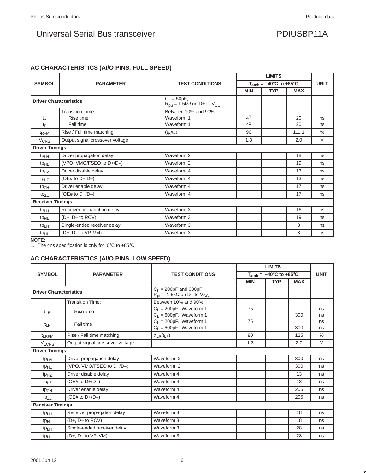## **AC CHARACTERISTICS (AI/O PINS. FULL SPEED)**

|                               |                                 |                                                                        |                | <b>LIMITS</b><br>$T_{amb} = -40^{\circ}$ C to +85 $^{\circ}$ C<br><b>MIN</b><br><b>TYP</b><br><b>MAX</b> |       |                                                                          |  |
|-------------------------------|---------------------------------|------------------------------------------------------------------------|----------------|----------------------------------------------------------------------------------------------------------|-------|--------------------------------------------------------------------------|--|
| <b>SYMBOL</b>                 | <b>PARAMETER</b>                | <b>TEST CONDITIONS</b>                                                 |                |                                                                                                          |       | <b>UNIT</b><br>ns<br>ns<br>$\%$<br>V<br>ns<br>ns<br>ns<br>ns<br>ns<br>ns |  |
|                               |                                 |                                                                        |                |                                                                                                          |       |                                                                          |  |
| <b>Driver Characteristics</b> |                                 | $C_L = 50pF;$<br>$R_{\text{pu}} = 1.5k\Omega$ on D+ to $V_{\text{CC}}$ |                |                                                                                                          |       |                                                                          |  |
|                               | <b>Transition Time:</b>         | Between 10% and 90%                                                    |                |                                                                                                          |       |                                                                          |  |
| $t_{\mathsf{R}}$              | Rise time                       | Waveform 1                                                             | 4 <sup>1</sup> |                                                                                                          | 20    |                                                                          |  |
| tF                            | Fall time                       | Waveform 1                                                             | 4 <sup>1</sup> |                                                                                                          | 20    |                                                                          |  |
| t <sub>RFM</sub>              | Rise / Fall time matching       | $(t_R/t_F)$                                                            | 90             |                                                                                                          | 111.1 |                                                                          |  |
| <b>V<sub>CRS</sub></b>        | Output signal crossover voltage |                                                                        | 1.3            |                                                                                                          | 2.0   |                                                                          |  |
| <b>Driver Timings</b>         |                                 |                                                                        |                |                                                                                                          |       |                                                                          |  |
| $tp_{LH}$                     | Driver propagation delay        | Waveform 2                                                             |                |                                                                                                          | 18    |                                                                          |  |
| t <sub>pHL</sub>              | (VPO, VMO/FSEO to D+/D-)        | Waveform 2                                                             |                |                                                                                                          | 19    |                                                                          |  |
| tp <sub>HZ</sub>              | Driver disable delay            | Waveform 4                                                             |                |                                                                                                          | 13    |                                                                          |  |
| $tp_{LZ}$                     | (OE# to $D+/D-)$                | Waveform 4                                                             |                |                                                                                                          | 13    |                                                                          |  |
| tpz <sub>H</sub>              | Driver enable delay             | Waveform 4                                                             |                |                                                                                                          | 17    |                                                                          |  |
| tpzL                          | (OE# to $D+/D-)$                | Waveform 4                                                             |                |                                                                                                          | 17    |                                                                          |  |
| <b>Receiver Timings</b>       |                                 |                                                                        |                |                                                                                                          |       |                                                                          |  |
| tp <sub>LH</sub>              | Receiver propagation delay      | Waveform 3                                                             |                |                                                                                                          | 16    | ns                                                                       |  |
| tp <sub>HL</sub>              | $(D+, D-$ to $RCV)$             | Waveform 3                                                             |                |                                                                                                          | 19    | ns                                                                       |  |
| tp <sub>LH</sub>              | Single-ended receiver delay     | Waveform 3                                                             |                |                                                                                                          | 8     | ns                                                                       |  |
| tp <sub>HL</sub>              | $(D+, D-$ to $VP, VM)$          | Waveform 3                                                             |                |                                                                                                          | 8     | ns                                                                       |  |

**NOTE:**

1. The 4ns specification is only for  $0^{\circ}$ C to +85 $^{\circ}$ C.

## **AC CHARACTERISTICS (AI/O PINS. LOW SPEED)**

|                               |                                 |                                                                                   |            | <b>LIMITS</b> |            |               |
|-------------------------------|---------------------------------|-----------------------------------------------------------------------------------|------------|---------------|------------|---------------|
| <b>SYMBOL</b>                 | <b>PARAMETER</b>                | <b>TEST CONDITIONS</b><br>$T_{amb} = -40^{\circ}$ C to $+85^{\circ}$ C            |            |               |            | <b>UNIT</b>   |
|                               |                                 |                                                                                   | <b>MIN</b> | <b>TYP</b>    | <b>MAX</b> |               |
| <b>Driver Characteristics</b> |                                 | $C_L$ = 200pF and 600pF;<br>$R_{\text{pu}} = 1.5k\Omega$ on D- to $V_{\text{CC}}$ |            |               |            |               |
|                               | <b>Transition Time:</b>         | Between 10% and 90%                                                               |            |               |            |               |
| t <sub>LR</sub>               | Rise time                       | $C_1 = 200pF$ . Waveform 1<br>$C_L = 600pF$ . Waveform 1                          | 75         |               | 300        | ns<br>ns      |
| $t_{LF}$                      | Fall time                       | $C_L = 200pF$ . Waveform 1<br>$C_L = 600pF$ . Waveform 1                          | 75         |               | 300        | ns<br>ns      |
| t <sub>LRFM</sub>             | Rise / Fall time matching       | $(t_{LR}/t_{LF})$                                                                 | 80         |               | 125        | $\frac{0}{0}$ |
| <b>V<sub>LCRS</sub></b>       | Output signal crossover voltage |                                                                                   | 1.3        |               | 2.0        | $\vee$        |
| <b>Driver Timings</b>         |                                 |                                                                                   |            |               |            |               |
| $tp_{LH}$                     | Driver propagation delay        | Waveform 2                                                                        |            |               | 300        | ns            |
| t <sub>pHL</sub>              | (VPO, VMO/FSEO to D+/D-)        | Waveform <sub>2</sub>                                                             |            |               | 300        | ns            |
| $tp_{HZ}$                     | Driver disable delay            | Waveform 4                                                                        |            |               | 13         | ns            |
| $tp_{LZ}$                     | (OE# to $D+/D-$ )               | Waveform 4                                                                        |            |               | 13         | ns            |
| $tp_{ZH}$                     | Driver enable delay             | Waveform 4                                                                        |            |               | 205        | ns            |
| tpzL                          | (OE# to $D+/D-$ )               | Waveform 4                                                                        |            |               | 205        | ns            |
| <b>Receiver Timings</b>       |                                 |                                                                                   |            |               |            |               |
| $tp_{LH}$                     | Receiver propagation delay      | Waveform 3                                                                        |            |               | 18         | ns            |
| $tp_{HL}$                     | $(D+, D-$ to $RCV)$             | Waveform 3                                                                        |            |               | 18         | ns            |
| tp <sub>LH</sub>              | Single-ended receiver delay     | Waveform 3                                                                        |            |               | 28         | ns            |
| t <sub>pHL</sub>              | $(D+, D-$ to $VP, VM)$          | Waveform 3                                                                        |            |               | 28         | ns            |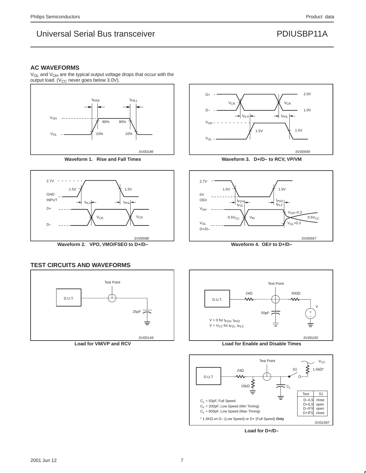### **AC WAVEFORMS**

V<sub>OL</sub> and V<sub>OH</sub> are the typical output voltage drops that occur with the output load. ( $V_{CC}$  never goes below 3.0V).



**Waveform 1. Rise and Fall Times**





**Waveform 3. D+/D– to RCV, VP/VM**



**Waveform 4. OE# to D+/D–**

## **TEST CIRCUITS AND WAVEFORMS**



**Load for VM/VP and RCV**



**Load for Enable and Disable Times**



**Load for D+/D–**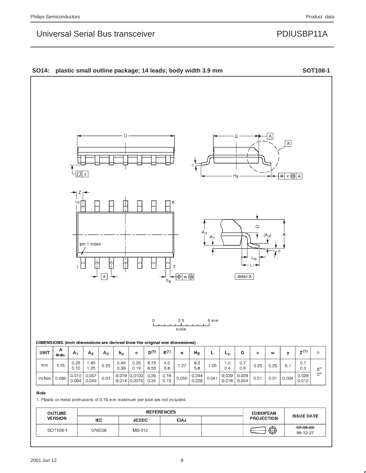# Universal Serial Bus transceiver **PDIUSBP11A**

## SO14: plastic small outline package; 14 leads; body width 3.9 mm



1. Plastic or metal protrusions of 0.15 mm maximum per side are not included.

| <b>OUTLINE</b> | <b>REFERENCES</b> |              |             |  | <b>EUROPEAN</b>   |                                  |  |
|----------------|-------------------|--------------|-------------|--|-------------------|----------------------------------|--|
| <b>VERSION</b> | <b>IEC</b>        | <b>JEDEC</b> | <b>EIAJ</b> |  | <b>PROJECTION</b> | <b>ISSUE DATE</b>                |  |
| SOT108-1       | 076E06            | MS-012       |             |  | ⊕                 | <del>-97-05-22</del><br>99-12-27 |  |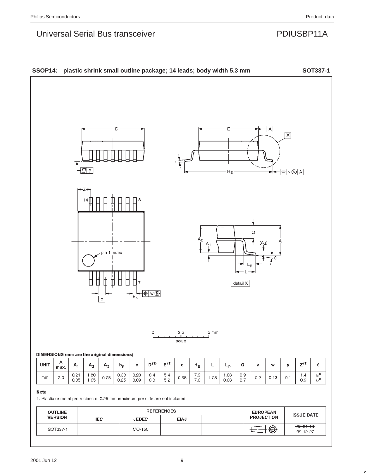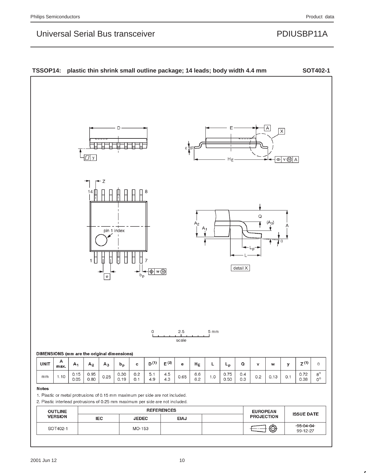# Universal Serial Bus transceiver **PDIUSBP11A**